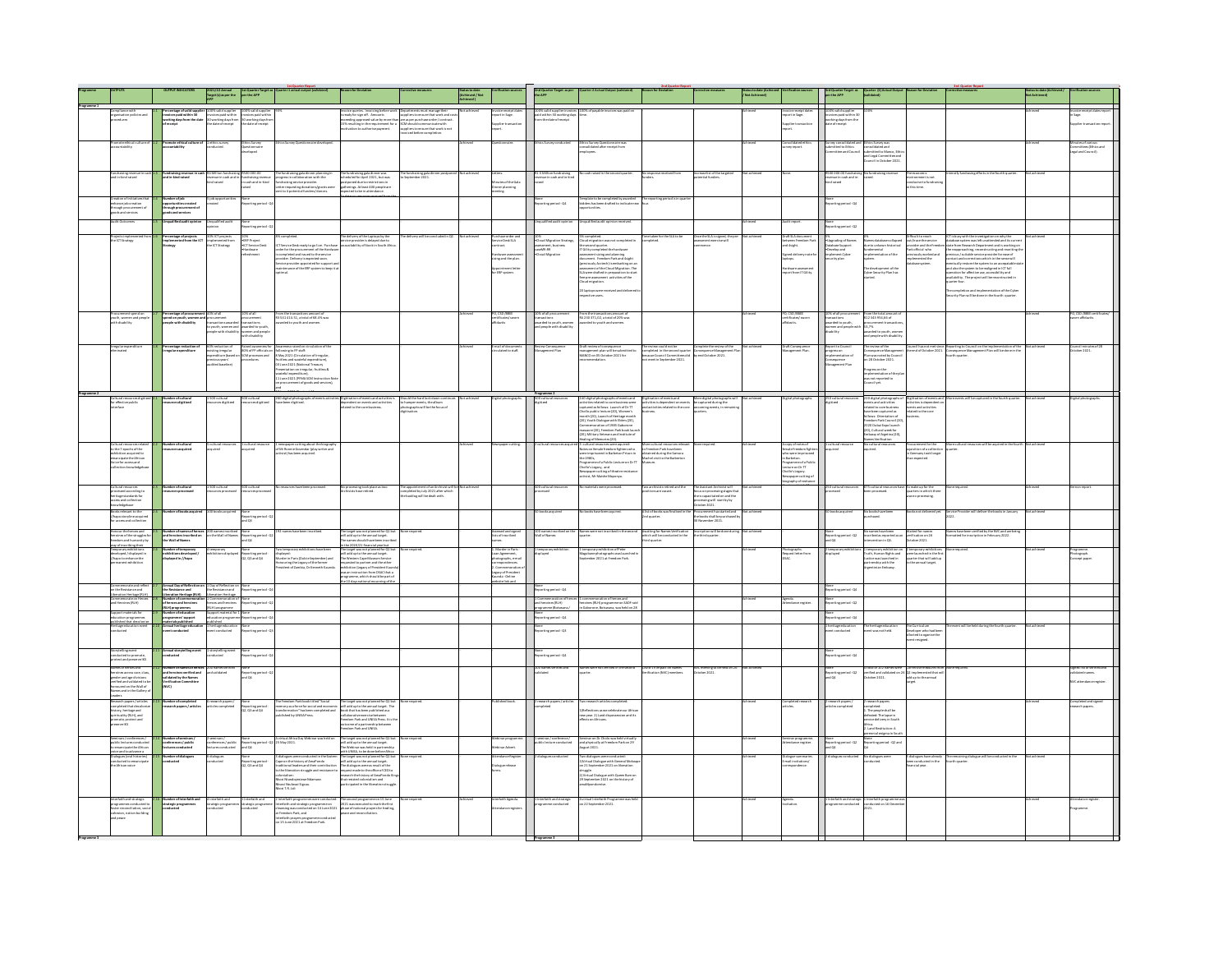|                                                                                                                                                                                    |                                                                                                                                                                                                                                                                                                                                                                                                                                                                                                                                                                                                                                     | 2021/22 Annual<br>Target (s) as per the<br>APP                                                             | 1st Quarter Target :<br>per the APP                                               |                                                                                                                                                                                                                                                                                                                                                                                                                                                                                                                   | on for Deviation                                                                                                                                                                                                                                                                                                                                                                                                                                                                                                     |                                                                                                               | isto date<br>leved / Not<br>eved ) |                                                                                                                                                                   | 2nd Quarter Target as per<br>the APP                                                             | ster 2 Actual Output (val)                                                                                                                                                                                                                          |                                                                                                                                         |                                                                                                                                                  |                                                                                                                                                                              |                                                                                                                                                                                                  |                                                                                                                                                                                                                                                                                      |                                                                                                                                                                  |                                                                                                                                                                                                                                        |                                                                   |
|------------------------------------------------------------------------------------------------------------------------------------------------------------------------------------|-------------------------------------------------------------------------------------------------------------------------------------------------------------------------------------------------------------------------------------------------------------------------------------------------------------------------------------------------------------------------------------------------------------------------------------------------------------------------------------------------------------------------------------------------------------------------------------------------------------------------------------|------------------------------------------------------------------------------------------------------------|-----------------------------------------------------------------------------------|-------------------------------------------------------------------------------------------------------------------------------------------------------------------------------------------------------------------------------------------------------------------------------------------------------------------------------------------------------------------------------------------------------------------------------------------------------------------------------------------------------------------|----------------------------------------------------------------------------------------------------------------------------------------------------------------------------------------------------------------------------------------------------------------------------------------------------------------------------------------------------------------------------------------------------------------------------------------------------------------------------------------------------------------------|---------------------------------------------------------------------------------------------------------------|------------------------------------|-------------------------------------------------------------------------------------------------------------------------------------------------------------------|--------------------------------------------------------------------------------------------------|-----------------------------------------------------------------------------------------------------------------------------------------------------------------------------------------------------------------------------------------------------|-----------------------------------------------------------------------------------------------------------------------------------------|--------------------------------------------------------------------------------------------------------------------------------------------------|------------------------------------------------------------------------------------------------------------------------------------------------------------------------------|--------------------------------------------------------------------------------------------------------------------------------------------------------------------------------------------------|--------------------------------------------------------------------------------------------------------------------------------------------------------------------------------------------------------------------------------------------------------------------------------------|------------------------------------------------------------------------------------------------------------------------------------------------------------------|----------------------------------------------------------------------------------------------------------------------------------------------------------------------------------------------------------------------------------------|-------------------------------------------------------------------|
|                                                                                                                                                                                    |                                                                                                                                                                                                                                                                                                                                                                                                                                                                                                                                                                                                                                     |                                                                                                            |                                                                                   |                                                                                                                                                                                                                                                                                                                                                                                                                                                                                                                   |                                                                                                                                                                                                                                                                                                                                                                                                                                                                                                                      |                                                                                                               | Not achieved                       | Invoicereceipt date<br>report in Sage.                                                                                                                            |                                                                                                  |                                                                                                                                                                                                                                                     |                                                                                                                                         |                                                                                                                                                  |                                                                                                                                                                              |                                                                                                                                                                                                  |                                                                                                                                                                                                                                                                                      |                                                                                                                                                                  |                                                                                                                                                                                                                                        | voice receipt dates re                                            |
| Compliance with<br>organisation policies and<br>orocedures                                                                                                                         | Percentage of valid suppli<br>Invoices paid within 30<br>working days from the dat                                                                                                                                                                                                                                                                                                                                                                                                                                                                                                                                                  | 100% valid supplier<br>Invoices paid within<br>30 working days from<br>the date of receipt                 |                                                                                   |                                                                                                                                                                                                                                                                                                                                                                                                                                                                                                                   | $\label{eq:invol} Involces \textbf{g} with some \textit{invol} is the \textit{invol} is the \textit{invol} is a \textit{invol} is a \textit{invol} is a \textit{invol} is a \textit{invol} is a \textit{invol} is a \textit{invol} is a \textit{invol} is a \textit{invol} is a \textit{invol} is a \textit{invol} is a \textit{invol} is a \textit{invol} is a \textit{invol} is a \textit{invol} is a \textit{invol} is a \textit{invol} is a \textit{invol} is a \textit{invol} is a \textit{invol} is a \textit$ |                                                                                                               |                                    |                                                                                                                                                                   |                                                                                                  | 100% valid supplier invoices 100% of payable invoices was paid on<br>paid within 10 working days<br>from the date of receipt                                                                                                                        |                                                                                                                                         |                                                                                                                                                  | aice receipt date<br>art in Sage.                                                                                                                                            | 100% valid supplier<br>Invoices paid within 3<br>working days from the<br>date of receipt                                                                                                        |                                                                                                                                                                                                                                                                                      |                                                                                                                                                                  |                                                                                                                                                                                                                                        |                                                                   |
|                                                                                                                                                                                    |                                                                                                                                                                                                                                                                                                                                                                                                                                                                                                                                                                                                                                     |                                                                                                            |                                                                                   |                                                                                                                                                                                                                                                                                                                                                                                                                                                                                                                   |                                                                                                                                                                                                                                                                                                                                                                                                                                                                                                                      |                                                                                                               |                                    | coller transact                                                                                                                                                   |                                                                                                  |                                                                                                                                                                                                                                                     |                                                                                                                                         |                                                                                                                                                  | olier transactic                                                                                                                                                             |                                                                                                                                                                                                  |                                                                                                                                                                                                                                                                                      |                                                                                                                                                                  |                                                                                                                                                                                                                                        | olier transact                                                    |
| .<br>Martin additional on                                                                                                                                                          | ta athicsi coltura a                                                                                                                                                                                                                                                                                                                                                                                                                                                                                                                                                                                                                |                                                                                                            |                                                                                   |                                                                                                                                                                                                                                                                                                                                                                                                                                                                                                                   |                                                                                                                                                                                                                                                                                                                                                                                                                                                                                                                      |                                                                                                               |                                    |                                                                                                                                                                   |                                                                                                  |                                                                                                                                                                                                                                                     |                                                                                                                                         |                                                                                                                                                  | <b>Sideward</b>                                                                                                                                                              |                                                                                                                                                                                                  |                                                                                                                                                                                                                                                                                      |                                                                                                                                                                  |                                                                                                                                                                                                                                        |                                                                   |
|                                                                                                                                                                                    |                                                                                                                                                                                                                                                                                                                                                                                                                                                                                                                                                                                                                                     | ics survey<br>ixcted.                                                                                      | cs Survey<br>stionnaire<br>sloped                                                 |                                                                                                                                                                                                                                                                                                                                                                                                                                                                                                                   |                                                                                                                                                                                                                                                                                                                                                                                                                                                                                                                      |                                                                                                               |                                    |                                                                                                                                                                   |                                                                                                  | cs Survey Questionnaire wa<br>solidated after receipt from<br>sloyees.                                                                                                                                                                              |                                                                                                                                         |                                                                                                                                                  | wy report.                                                                                                                                                                   | mitted to Ethics<br>mittee and Couns                                                                                                                                                             | tthics Survey was<br>consolidated and<br>wbmitted to Manco, DJ                                                                                                                                                                                                                       |                                                                                                                                                                  |                                                                                                                                                                                                                                        | Anutes of various<br>committees (Othics and<br>egal and Council). |
|                                                                                                                                                                                    |                                                                                                                                                                                                                                                                                                                                                                                                                                                                                                                                                                                                                                     |                                                                                                            |                                                                                   |                                                                                                                                                                                                                                                                                                                                                                                                                                                                                                                   |                                                                                                                                                                                                                                                                                                                                                                                                                                                                                                                      |                                                                                                               |                                    |                                                                                                                                                                   |                                                                                                  |                                                                                                                                                                                                                                                     |                                                                                                                                         |                                                                                                                                                  |                                                                                                                                                                              |                                                                                                                                                                                                  | and Legal Committee and<br>Council in October 2021                                                                                                                                                                                                                                   |                                                                                                                                                                  |                                                                                                                                                                                                                                        |                                                                   |
|                                                                                                                                                                                    |                                                                                                                                                                                                                                                                                                                                                                                                                                                                                                                                                                                                                                     |                                                                                                            |                                                                                   |                                                                                                                                                                                                                                                                                                                                                                                                                                                                                                                   |                                                                                                                                                                                                                                                                                                                                                                                                                                                                                                                      |                                                                                                               |                                    |                                                                                                                                                                   |                                                                                                  |                                                                                                                                                                                                                                                     |                                                                                                                                         |                                                                                                                                                  |                                                                                                                                                                              |                                                                                                                                                                                                  |                                                                                                                                                                                                                                                                                      |                                                                                                                                                                  |                                                                                                                                                                                                                                        |                                                                   |
| sdraising reven.<br>d in-kind raised                                                                                                                                               |                                                                                                                                                                                                                                                                                                                                                                                                                                                                                                                                                                                                                                     | t4 Million fundrals!:<br>revenue in cash and i<br>sind raised                                              | 00000.00<br>ndraising revenue<br>cash and in-kind                                 |                                                                                                                                                                                                                                                                                                                                                                                                                                                                                                                   |                                                                                                                                                                                                                                                                                                                                                                                                                                                                                                                      | fundralsing gala dinn<br>ieptember 2021.                                                                      |                                    |                                                                                                                                                                   | R1.5 Million fundralsing<br>revenue in cash and in-kins<br>raised                                |                                                                                                                                                                                                                                                     |                                                                                                                                         | asellist of the tar<br>stial funders.                                                                                                            |                                                                                                                                                                              | RS00 000.00 fundrals<br>reversae in cash and in<br>kind raised                                                                                                                                   |                                                                                                                                                                                                                                                                                      |                                                                                                                                                                  |                                                                                                                                                                                                                                        |                                                                   |
|                                                                                                                                                                                    |                                                                                                                                                                                                                                                                                                                                                                                                                                                                                                                                                                                                                                     |                                                                                                            |                                                                                   | The fundraising galadinner planning in<br>progress in collaboration with the<br>fundraising service provider.<br>Letter requesting donations/grants were<br>sent to 4 potential funders/donors.                                                                                                                                                                                                                                                                                                                   | The fundraising gala dinner was<br>scheduled for April 2021, but was<br>postponed due to restrictions in<br>gatherings. At least 400 people are<br>superted to be in attendance.                                                                                                                                                                                                                                                                                                                                     |                                                                                                               |                                    | Minutes of the Gala<br>Dinner planning<br>meeting.                                                                                                                |                                                                                                  |                                                                                                                                                                                                                                                     |                                                                                                                                         |                                                                                                                                                  |                                                                                                                                                                              |                                                                                                                                                                                                  |                                                                                                                                                                                                                                                                                      | . .contenic<br>environment is not<br>conducive to fundraisin<br>t this time.                                                                                     |                                                                                                                                                                                                                                        |                                                                   |
| eation of initiative                                                                                                                                                               | ber of job                                                                                                                                                                                                                                                                                                                                                                                                                                                                                                                                                                                                                          |                                                                                                            |                                                                                   |                                                                                                                                                                                                                                                                                                                                                                                                                                                                                                                   |                                                                                                                                                                                                                                                                                                                                                                                                                                                                                                                      |                                                                                                               |                                    |                                                                                                                                                                   |                                                                                                  | mplate to be completed by awarded The reporting perior                                                                                                                                                                                              |                                                                                                                                         |                                                                                                                                                  |                                                                                                                                                                              |                                                                                                                                                                                                  |                                                                                                                                                                                                                                                                                      |                                                                                                                                                                  |                                                                                                                                                                                                                                        |                                                                   |
| -<br>nhance job creation<br>hrough procurement of<br>pods and services                                                                                                             | Number or job<br>opportunities created<br>through procurement of<br>goods and services                                                                                                                                                                                                                                                                                                                                                                                                                                                                                                                                              | ted                                                                                                        | $ring period - C$                                                                 |                                                                                                                                                                                                                                                                                                                                                                                                                                                                                                                   |                                                                                                                                                                                                                                                                                                                                                                                                                                                                                                                      |                                                                                                               |                                    |                                                                                                                                                                   | .<br>rting period - Q4                                                                           | s has been drafted to indicate n<br>turities.                                                                                                                                                                                                       |                                                                                                                                         |                                                                                                                                                  |                                                                                                                                                                              | eting period - Q4                                                                                                                                                                                |                                                                                                                                                                                                                                                                                      |                                                                                                                                                                  |                                                                                                                                                                                                                                        |                                                                   |
|                                                                                                                                                                                    |                                                                                                                                                                                                                                                                                                                                                                                                                                                                                                                                                                                                                                     |                                                                                                            |                                                                                   |                                                                                                                                                                                                                                                                                                                                                                                                                                                                                                                   |                                                                                                                                                                                                                                                                                                                                                                                                                                                                                                                      |                                                                                                               |                                    |                                                                                                                                                                   |                                                                                                  |                                                                                                                                                                                                                                                     |                                                                                                                                         |                                                                                                                                                  |                                                                                                                                                                              |                                                                                                                                                                                                  |                                                                                                                                                                                                                                                                                      |                                                                                                                                                                  |                                                                                                                                                                                                                                        |                                                                   |
|                                                                                                                                                                                    | ualited audit opin                                                                                                                                                                                                                                                                                                                                                                                                                                                                                                                                                                                                                  | ing usined audit                                                                                           | .<br>rting period - Q2                                                            |                                                                                                                                                                                                                                                                                                                                                                                                                                                                                                                   |                                                                                                                                                                                                                                                                                                                                                                                                                                                                                                                      |                                                                                                               |                                    |                                                                                                                                                                   |                                                                                                  |                                                                                                                                                                                                                                                     |                                                                                                                                         |                                                                                                                                                  | trepor                                                                                                                                                                       | ---<br>porting period - C(2                                                                                                                                                                      |                                                                                                                                                                                                                                                                                      |                                                                                                                                                                  |                                                                                                                                                                                                                                        |                                                                   |
|                                                                                                                                                                                    |                                                                                                                                                                                                                                                                                                                                                                                                                                                                                                                                                                                                                                     | s iCT project                                                                                              |                                                                                   |                                                                                                                                                                                                                                                                                                                                                                                                                                                                                                                   |                                                                                                                                                                                                                                                                                                                                                                                                                                                                                                                      |                                                                                                               |                                    |                                                                                                                                                                   |                                                                                                  |                                                                                                                                                                                                                                                     |                                                                                                                                         | eSLA is signed,                                                                                                                                  |                                                                                                                                                                              |                                                                                                                                                                                                  |                                                                                                                                                                                                                                                                                      |                                                                                                                                                                  |                                                                                                                                                                                                                                        |                                                                   |
| ijects implem<br> ICT Strategy                                                                                                                                                     |                                                                                                                                                                                                                                                                                                                                                                                                                                                                                                                                                                                                                                     | splemented from<br>e ICT Strategy                                                                          | 0%<br>ERP Project<br>ICT Service Desk<br>Hardware<br>elreshment                   |                                                                                                                                                                                                                                                                                                                                                                                                                                                                                                                   | .<br>The delivery of the Laptops by the<br>service provider is delayed due to<br>unavailability of Stock in South Afr                                                                                                                                                                                                                                                                                                                                                                                                |                                                                                                               |                                    | rcnase order a<br>rvice Desk SLA<br>ntract.                                                                                                                       | 10%<br>=Cloud Migration Strategy,<br>assessment, business<br>caseM3:89<br>=Cloud Migration       | $\overline{\kappa}$ completed.<br>Insul migration was not completed in lead migration quantities quantitative summers in<br>the handware summers in the baseline of the local migratic particular<br>formula in the local diagrit proposed of th    | se taken fi<br>ripleted.                                                                                                                | ment exercise will<br>rence.                                                                                                                     | ween Freedo<br>E4sight.                                                                                                                                                      | $\begin{tabular}{l} Ns \\ \hline \texttt{-Upprading of Narnes} \\ \texttt{Outabase Support} \\ \hline \texttt{-Gweotop and} \\ \texttt{implement Cpher} \\ \texttt{security plan} \end{tabular}$ | 0%<br>Names database collapse<br>due to unkown historical<br>fundemental<br>implementation of the<br>system.                                                                                                                                                                         | Difficult to reach<br>positive and the structure<br>position and the Freedo<br>park official who<br>previously worked and<br>implemented the<br>database system. | ICT in bury with the<br>investigation on why the diskulas system with the investigation on why<br>the state of the system of the control of the control of the control<br>particular and is working to control the particular of the c |                                                                   |
|                                                                                                                                                                                    |                                                                                                                                                                                                                                                                                                                                                                                                                                                                                                                                                                                                                                     |                                                                                                            |                                                                                   | ICT Service Desk ready to go live. Purcha<br>order for the procurement of the Hardw<br>In completed and Issued to the service<br>provider. Delivery is espected for support :<br>Service provider appointed for support :<br>maintenance of t                                                                                                                                                                                                                                                                     |                                                                                                                                                                                                                                                                                                                                                                                                                                                                                                                      |                                                                                                               |                                    | Hardware assessme<br>sizing and the plan.                                                                                                                         |                                                                                                  |                                                                                                                                                                                                                                                     |                                                                                                                                         |                                                                                                                                                  | Signed delivery not<br>laptops.                                                                                                                                              |                                                                                                                                                                                                  |                                                                                                                                                                                                                                                                                      |                                                                                                                                                                  |                                                                                                                                                                                                                                        |                                                                   |
|                                                                                                                                                                                    |                                                                                                                                                                                                                                                                                                                                                                                                                                                                                                                                                                                                                                     |                                                                                                            |                                                                                   |                                                                                                                                                                                                                                                                                                                                                                                                                                                                                                                   |                                                                                                                                                                                                                                                                                                                                                                                                                                                                                                                      |                                                                                                               |                                    |                                                                                                                                                                   |                                                                                                  |                                                                                                                                                                                                                                                     |                                                                                                                                         |                                                                                                                                                  |                                                                                                                                                                              |                                                                                                                                                                                                  |                                                                                                                                                                                                                                                                                      |                                                                                                                                                                  |                                                                                                                                                                                                                                        |                                                                   |
|                                                                                                                                                                                    |                                                                                                                                                                                                                                                                                                                                                                                                                                                                                                                                                                                                                                     |                                                                                                            |                                                                                   | mainten.<br>optimal.                                                                                                                                                                                                                                                                                                                                                                                                                                                                                              |                                                                                                                                                                                                                                                                                                                                                                                                                                                                                                                      |                                                                                                               |                                    | <b>Appointment lette</b><br>for ERP system.                                                                                                                       |                                                                                                  |                                                                                                                                                                                                                                                     |                                                                                                                                         |                                                                                                                                                  | rdware assemmen<br>sort from IT Gility.                                                                                                                                      |                                                                                                                                                                                                  | The development of the<br>Cyber Security Plan has<br>started.                                                                                                                                                                                                                        |                                                                                                                                                                  |                                                                                                                                                                                                                                        |                                                                   |
|                                                                                                                                                                                    |                                                                                                                                                                                                                                                                                                                                                                                                                                                                                                                                                                                                                                     |                                                                                                            |                                                                                   |                                                                                                                                                                                                                                                                                                                                                                                                                                                                                                                   |                                                                                                                                                                                                                                                                                                                                                                                                                                                                                                                      |                                                                                                               |                                    |                                                                                                                                                                   |                                                                                                  |                                                                                                                                                                                                                                                     |                                                                                                                                         |                                                                                                                                                  |                                                                                                                                                                              |                                                                                                                                                                                                  |                                                                                                                                                                                                                                                                                      |                                                                                                                                                                  |                                                                                                                                                                                                                                        |                                                                   |
|                                                                                                                                                                                    |                                                                                                                                                                                                                                                                                                                                                                                                                                                                                                                                                                                                                                     |                                                                                                            |                                                                                   |                                                                                                                                                                                                                                                                                                                                                                                                                                                                                                                   |                                                                                                                                                                                                                                                                                                                                                                                                                                                                                                                      |                                                                                                               |                                    |                                                                                                                                                                   |                                                                                                  |                                                                                                                                                                                                                                                     |                                                                                                                                         |                                                                                                                                                  |                                                                                                                                                                              |                                                                                                                                                                                                  |                                                                                                                                                                                                                                                                                      |                                                                                                                                                                  | complexes are experienced.<br>Inty Plan will be done in the fourth-qu                                                                                                                                                                  |                                                                   |
|                                                                                                                                                                                    |                                                                                                                                                                                                                                                                                                                                                                                                                                                                                                                                                                                                                                     |                                                                                                            |                                                                                   |                                                                                                                                                                                                                                                                                                                                                                                                                                                                                                                   |                                                                                                                                                                                                                                                                                                                                                                                                                                                                                                                      |                                                                                                               |                                    |                                                                                                                                                                   |                                                                                                  |                                                                                                                                                                                                                                                     |                                                                                                                                         |                                                                                                                                                  |                                                                                                                                                                              |                                                                                                                                                                                                  |                                                                                                                                                                                                                                                                                      |                                                                                                                                                                  |                                                                                                                                                                                                                                        |                                                                   |
|                                                                                                                                                                                    | $\begin{tabular}{ c c } \hline \textbf{Precentering of performance of CS of all}\\ \hline \textbf{opened to point, weread to the 1000.} \\ \hline \textbf{opened of power, and the 1000.} \\ \hline \textbf{opened of power, and the 1000.} \\ \hline \textbf{opened of the power and the 1000.} \\ \hline \textbf{opened of the power and people with diubility} \\ \hline \textbf{opened of the power and people}\\ \hline \textbf{opened of the power and people}\\ \hline \textbf{opened of the power and people}\\ \hline \textbf{opened of the power and people}\\ \hline \textbf{opened of the power and people}\\ \hline \$ |                                                                                                            |                                                                                   |                                                                                                                                                                                                                                                                                                                                                                                                                                                                                                                   |                                                                                                                                                                                                                                                                                                                                                                                                                                                                                                                      |                                                                                                               |                                    |                                                                                                                                                                   |                                                                                                  |                                                                                                                                                                                                                                                     |                                                                                                                                         |                                                                                                                                                  | so man                                                                                                                                                                       |                                                                                                                                                                                                  |                                                                                                                                                                                                                                                                                      |                                                                                                                                                                  |                                                                                                                                                                                                                                        | . CSD /BBEE certif                                                |
| uth, women and peop<br>ith disability                                                                                                                                              |                                                                                                                                                                                                                                                                                                                                                                                                                                                                                                                                                                                                                                     |                                                                                                            |                                                                                   | From the transactions amount …<br>R.1 541 414.51, a total of 68.4% was<br>awarded to youth and women.                                                                                                                                                                                                                                                                                                                                                                                                             |                                                                                                                                                                                                                                                                                                                                                                                                                                                                                                                      |                                                                                                               |                                    | PO, CSD / Instit<br>certificates/ sworn<br>affidavits                                                                                                             | 10% or all procurements<br>transactions<br>awarded to youth, women<br>and people with disability | 84 230 371,02, a total of 20% was<br>warded to youth and women.                                                                                                                                                                                     |                                                                                                                                         |                                                                                                                                                  | rtificates/sworn<br>Idavits.                                                                                                                                                 | ${transactions} \\ {\it mustions} \\ {\it mustied to youth} \\ {\it musted to youth} \\ {\it wearen\,not--}$                                                                                     | R12 343 954,66 of                                                                                                                                                                                                                                                                    |                                                                                                                                                                  |                                                                                                                                                                                                                                        | maffidavits.                                                      |
|                                                                                                                                                                                    |                                                                                                                                                                                                                                                                                                                                                                                                                                                                                                                                                                                                                                     |                                                                                                            |                                                                                   |                                                                                                                                                                                                                                                                                                                                                                                                                                                                                                                   |                                                                                                                                                                                                                                                                                                                                                                                                                                                                                                                      |                                                                                                               |                                    |                                                                                                                                                                   |                                                                                                  |                                                                                                                                                                                                                                                     |                                                                                                                                         |                                                                                                                                                  |                                                                                                                                                                              | omen and people wit<br>Isability                                                                                                                                                                 | Procurement transaction<br>h 53,7%<br>awarded to youth, wome<br>and people with disabilit                                                                                                                                                                                            |                                                                                                                                                                  |                                                                                                                                                                                                                                        |                                                                   |
|                                                                                                                                                                                    |                                                                                                                                                                                                                                                                                                                                                                                                                                                                                                                                                                                                                                     |                                                                                                            |                                                                                   |                                                                                                                                                                                                                                                                                                                                                                                                                                                                                                                   |                                                                                                                                                                                                                                                                                                                                                                                                                                                                                                                      |                                                                                                               |                                    |                                                                                                                                                                   |                                                                                                  |                                                                                                                                                                                                                                                     |                                                                                                                                         |                                                                                                                                                  |                                                                                                                                                                              |                                                                                                                                                                                                  |                                                                                                                                                                                                                                                                                      |                                                                                                                                                                  |                                                                                                                                                                                                                                        |                                                                   |
| regular exper<br>iminated                                                                                                                                                          |                                                                                                                                                                                                                                                                                                                                                                                                                                                                                                                                                                                                                                     |                                                                                                            |                                                                                   |                                                                                                                                                                                                                                                                                                                                                                                                                                                                                                                   |                                                                                                                                                                                                                                                                                                                                                                                                                                                                                                                      |                                                                                                               |                                    | rail of document<br>rrulated to staff.                                                                                                                            |                                                                                                  | ft review of consequence<br>sagement plan will be submitted to<br>NCO on 05 October 2021 for                                                                                                                                                        |                                                                                                                                         |                                                                                                                                                  | ft Consequence<br>sagement Plan                                                                                                                                              |                                                                                                                                                                                                  |                                                                                                                                                                                                                                                                                      |                                                                                                                                                                  | aportingto Council on<br>Consequence Manageme                                                                                                                                                                                          | Council minutes of 21<br>Ictober 2021.                            |
|                                                                                                                                                                                    |                                                                                                                                                                                                                                                                                                                                                                                                                                                                                                                                                                                                                                     | 60% reduction of<br>existing irregular<br>expenditure [based c<br>previous years'<br>audited baseline]     | Raised awarenem for<br>BD% of FP officials on<br>SCM processes and<br>procedures. |                                                                                                                                                                                                                                                                                                                                                                                                                                                                                                                   |                                                                                                                                                                                                                                                                                                                                                                                                                                                                                                                      |                                                                                                               |                                    |                                                                                                                                                                   |                                                                                                  |                                                                                                                                                                                                                                                     | he review could not be<br>ompleted in the second quarter<br>rcause Council Committees did<br>ot meet in September 2021.                 | Complete the review of the<br>Consequence Management I<br>by end October 2021.                                                                   |                                                                                                                                                                              | Report to Council<br>progress on<br>implementation of<br>Consequence<br>Management Plan                                                                                                          | Plan was noted by Co<br>an 28 October 2021.                                                                                                                                                                                                                                          |                                                                                                                                                                  | th quarter.                                                                                                                                                                                                                            |                                                                   |
|                                                                                                                                                                                    |                                                                                                                                                                                                                                                                                                                                                                                                                                                                                                                                                                                                                                     |                                                                                                            |                                                                                   |                                                                                                                                                                                                                                                                                                                                                                                                                                                                                                                   |                                                                                                                                                                                                                                                                                                                                                                                                                                                                                                                      |                                                                                                               |                                    |                                                                                                                                                                   |                                                                                                  |                                                                                                                                                                                                                                                     |                                                                                                                                         |                                                                                                                                                  |                                                                                                                                                                              |                                                                                                                                                                                                  |                                                                                                                                                                                                                                                                                      |                                                                                                                                                                  |                                                                                                                                                                                                                                        |                                                                   |
|                                                                                                                                                                                    |                                                                                                                                                                                                                                                                                                                                                                                                                                                                                                                                                                                                                                     |                                                                                                            |                                                                                   | Assuments raised on circulation of the<br>following to 79 staff.<br>In May 2021 (Circulation of Irregular, function and Assument Constant<br>production and Assument Constant Constant<br>Prementation on irregular, furthers &<br>rememberic                                                                                                                                                                                                                                                                     |                                                                                                                                                                                                                                                                                                                                                                                                                                                                                                                      |                                                                                                               |                                    |                                                                                                                                                                   |                                                                                                  |                                                                                                                                                                                                                                                     |                                                                                                                                         |                                                                                                                                                  |                                                                                                                                                                              |                                                                                                                                                                                                  | Progress on the<br>Implementation of the<br>was not reported to<br>Council yet.                                                                                                                                                                                                      |                                                                                                                                                                  |                                                                                                                                                                                                                                        |                                                                   |
|                                                                                                                                                                                    |                                                                                                                                                                                                                                                                                                                                                                                                                                                                                                                                                                                                                                     |                                                                                                            |                                                                                   | rocurement of goods and services).                                                                                                                                                                                                                                                                                                                                                                                                                                                                                |                                                                                                                                                                                                                                                                                                                                                                                                                                                                                                                      |                                                                                                               |                                    |                                                                                                                                                                   |                                                                                                  |                                                                                                                                                                                                                                                     |                                                                                                                                         |                                                                                                                                                  |                                                                                                                                                                              |                                                                                                                                                                                                  |                                                                                                                                                                                                                                                                                      |                                                                                                                                                                  |                                                                                                                                                                                                                                        |                                                                   |
| Cultural resources digitized 2.1 Mumber of cultural<br>for effective public resources digitized<br>interface                                                                       |                                                                                                                                                                                                                                                                                                                                                                                                                                                                                                                                                                                                                                     | 1500 cultural<br>resources digitized                                                                       | <b>SOO cultural</b><br>resources digitized                                        |                                                                                                                                                                                                                                                                                                                                                                                                                                                                                                                   |                                                                                                                                                                                                                                                                                                                                                                                                                                                                                                                      |                                                                                                               |                                    |                                                                                                                                                                   | <b>vogramme 2</b><br>30 cultural resources<br>gitiaed                                            | 140 digital photographs of events and                                                                                                                                                                                                               | Digitisation of events and                                                                                                              |                                                                                                                                                  | Digital photograph                                                                                                                                                           |                                                                                                                                                                                                  |                                                                                                                                                                                                                                                                                      |                                                                                                                                                                  | .<br>Digitisation of events and More events will be captured in the fourth quarter.                                                                                                                                                    |                                                                   |
|                                                                                                                                                                                    |                                                                                                                                                                                                                                                                                                                                                                                                                                                                                                                                                                                                                                     |                                                                                                            |                                                                                   | 200 digital photographs of events activities ("Gegriadion of events and activities is "Chould the hard lock down continue").<br>have been digitised. We represent to a works and activities "to bamper events of the barrows" of                                                                                                                                                                                                                                                                                  |                                                                                                                                                                                                                                                                                                                                                                                                                                                                                                                      | hamper events, the album<br>hotographs will be the focus of<br>#Histling                                      |                                    |                                                                                                                                                                   |                                                                                                  |                                                                                                                                                                                                                                                     |                                                                                                                                         | More digital photographs will<br>be captured during the<br>coorning events, in remaining<br>quarters.                                            |                                                                                                                                                                              |                                                                                                                                                                                                  |                                                                                                                                                                                                                                                                                      |                                                                                                                                                                  |                                                                                                                                                                                                                                        |                                                                   |
|                                                                                                                                                                                    |                                                                                                                                                                                                                                                                                                                                                                                                                                                                                                                                                                                                                                     |                                                                                                            |                                                                                   |                                                                                                                                                                                                                                                                                                                                                                                                                                                                                                                   |                                                                                                                                                                                                                                                                                                                                                                                                                                                                                                                      |                                                                                                               |                                    |                                                                                                                                                                   |                                                                                                  |                                                                                                                                                                                                                                                     |                                                                                                                                         |                                                                                                                                                  |                                                                                                                                                                              |                                                                                                                                                                                                  |                                                                                                                                                                                                                                                                                      | activities is depend<br>events and activitie<br>related to the core<br>business.                                                                                 |                                                                                                                                                                                                                                        |                                                                   |
|                                                                                                                                                                                    |                                                                                                                                                                                                                                                                                                                                                                                                                                                                                                                                                                                                                                     |                                                                                                            |                                                                                   |                                                                                                                                                                                                                                                                                                                                                                                                                                                                                                                   |                                                                                                                                                                                                                                                                                                                                                                                                                                                                                                                      |                                                                                                               |                                    |                                                                                                                                                                   |                                                                                                  |                                                                                                                                                                                                                                                     |                                                                                                                                         |                                                                                                                                                  |                                                                                                                                                                              |                                                                                                                                                                                                  |                                                                                                                                                                                                                                                                                      |                                                                                                                                                                  |                                                                                                                                                                                                                                        |                                                                   |
|                                                                                                                                                                                    |                                                                                                                                                                                                                                                                                                                                                                                                                                                                                                                                                                                                                                     |                                                                                                            |                                                                                   |                                                                                                                                                                                                                                                                                                                                                                                                                                                                                                                   |                                                                                                                                                                                                                                                                                                                                                                                                                                                                                                                      |                                                                                                               |                                    |                                                                                                                                                                   |                                                                                                  | 240 organization of the main of the state of the state of the state state of the state of the School of the School of the School of the School of the School of the School of the School of the School of the School of Cap),                       |                                                                                                                                         |                                                                                                                                                  |                                                                                                                                                                              |                                                                                                                                                                                                  | $[220$ digital photographs<br>$\alpha$ events and activities<br>$\alpha$ related to core business<br>$\alpha$ have been captured as<br>$\alpha$ follows: Chiertation of<br>$\alpha$<br>$\alpha$ freedom Park Council (20<br>$\alpha$ ), Cultural week for<br>$\alpha$<br>$\alpha$ Pa |                                                                                                                                                                  |                                                                                                                                                                                                                                        |                                                                   |
|                                                                                                                                                                                    |                                                                                                                                                                                                                                                                                                                                                                                                                                                                                                                                                                                                                                     |                                                                                                            |                                                                                   |                                                                                                                                                                                                                                                                                                                                                                                                                                                                                                                   |                                                                                                                                                                                                                                                                                                                                                                                                                                                                                                                      |                                                                                                               |                                    |                                                                                                                                                                   |                                                                                                  |                                                                                                                                                                                                                                                     |                                                                                                                                         |                                                                                                                                                  |                                                                                                                                                                              |                                                                                                                                                                                                  |                                                                                                                                                                                                                                                                                      |                                                                                                                                                                  |                                                                                                                                                                                                                                        |                                                                   |
| altural resources related<br>the 7 epochs of the<br>chibition acquired to<br>nancipate the African<br>sice for access and<br>tilection knowledgebas                                | er of cultural<br>ces acquired                                                                                                                                                                                                                                                                                                                                                                                                                                                                                                                                                                                                      | 5 cultural resources<br>acquired                                                                           | cultural reso<br>cquired                                                          | 1 newspaper cutting about the biograph<br>of Mr Roenie Goverdar (play writer and<br>activist) has been acquired.                                                                                                                                                                                                                                                                                                                                                                                                  |                                                                                                                                                                                                                                                                                                                                                                                                                                                                                                                      |                                                                                                               |                                    |                                                                                                                                                                   |                                                                                                  |                                                                                                                                                                                                                                                     | More cultural resources releva<br>to Freedom Park have been<br>obtained during the Samora<br>Vlachel visit to the Barberton<br>Vlaseum. |                                                                                                                                                  |                                                                                                                                                                              | 1 cultural resource<br>acquired                                                                                                                                                                  |                                                                                                                                                                                                                                                                                      | Procurement for the<br>aquisition of a collection<br>in Germany took longer<br>than expected.                                                                    |                                                                                                                                                                                                                                        |                                                                   |
|                                                                                                                                                                                    |                                                                                                                                                                                                                                                                                                                                                                                                                                                                                                                                                                                                                                     |                                                                                                            |                                                                                   |                                                                                                                                                                                                                                                                                                                                                                                                                                                                                                                   |                                                                                                                                                                                                                                                                                                                                                                                                                                                                                                                      |                                                                                                               |                                    |                                                                                                                                                                   |                                                                                                  |                                                                                                                                                                                                                                                     |                                                                                                                                         |                                                                                                                                                  |                                                                                                                                                                              |                                                                                                                                                                                                  |                                                                                                                                                                                                                                                                                      |                                                                                                                                                                  |                                                                                                                                                                                                                                        |                                                                   |
|                                                                                                                                                                                    |                                                                                                                                                                                                                                                                                                                                                                                                                                                                                                                                                                                                                                     |                                                                                                            |                                                                                   |                                                                                                                                                                                                                                                                                                                                                                                                                                                                                                                   |                                                                                                                                                                                                                                                                                                                                                                                                                                                                                                                      |                                                                                                               |                                    |                                                                                                                                                                   |                                                                                                  | 3 cultural resources were aguired:<br>Notes on female freedom fighters who<br>were imprisoned in Barbeton Prison in<br>the 3900,<br>Programme of a Public Lecture on Dr TT<br>Chollo's Legacy, and<br>Mewpaper cutting of theatre resistance<br>act |                                                                                                                                         |                                                                                                                                                  | A copy of notes of<br>female Freedom fighter<br>who were imprisoned<br>in Barbeton.<br>Programme of a Public<br>Lecture on Dr TT<br>Chollo's Legacy.<br>Newspaper cutting of |                                                                                                                                                                                                  |                                                                                                                                                                                                                                                                                      |                                                                                                                                                                  |                                                                                                                                                                                                                                        |                                                                   |
|                                                                                                                                                                                    |                                                                                                                                                                                                                                                                                                                                                                                                                                                                                                                                                                                                                                     |                                                                                                            |                                                                                   |                                                                                                                                                                                                                                                                                                                                                                                                                                                                                                                   |                                                                                                                                                                                                                                                                                                                                                                                                                                                                                                                      |                                                                                                               |                                    |                                                                                                                                                                   |                                                                                                  |                                                                                                                                                                                                                                                     |                                                                                                                                         |                                                                                                                                                  | <b>iography</b> of resita                                                                                                                                                    |                                                                                                                                                                                                  |                                                                                                                                                                                                                                                                                      |                                                                                                                                                                  |                                                                                                                                                                                                                                        |                                                                   |
| Cultural resources<br>orocessed according to<br>seritage standards for<br>scous and collection<br>nowledgebase<br>looks relevant to the                                            |                                                                                                                                                                                                                                                                                                                                                                                                                                                                                                                                                                                                                                     | 1 500 cultural<br>resources processed                                                                      | cultural<br>arces processed                                                       |                                                                                                                                                                                                                                                                                                                                                                                                                                                                                                                   | No processing took place as two<br>Archivists have retired.                                                                                                                                                                                                                                                                                                                                                                                                                                                          | The appointment of an Archivist will<br>completed by July 2021 after which<br>the backlog will be dealt with. |                                    |                                                                                                                                                                   | 500 cultural<br>processed                                                                        |                                                                                                                                                                                                                                                     | vo archivists retired and the<br>sultions are vacant.                                                                                   |                                                                                                                                                  |                                                                                                                                                                              | z curcum<br>censed                                                                                                                                                                               | 875 cultural reso<br>been processed.                                                                                                                                                                                                                                                 | To make up for the<br>quarters in which then<br>was no processing.                                                                                               |                                                                                                                                                                                                                                        |                                                                   |
|                                                                                                                                                                                    |                                                                                                                                                                                                                                                                                                                                                                                                                                                                                                                                                                                                                                     |                                                                                                            |                                                                                   |                                                                                                                                                                                                                                                                                                                                                                                                                                                                                                                   |                                                                                                                                                                                                                                                                                                                                                                                                                                                                                                                      |                                                                                                               |                                    |                                                                                                                                                                   |                                                                                                  |                                                                                                                                                                                                                                                     |                                                                                                                                         | The Assistant Archivist will<br>focus on processing stages that<br>she is capacitated on and the<br>processing will start by by<br>October 2021. |                                                                                                                                                                              |                                                                                                                                                                                                  |                                                                                                                                                                                                                                                                                      |                                                                                                                                                                  |                                                                                                                                                                                                                                        |                                                                   |
|                                                                                                                                                                                    |                                                                                                                                                                                                                                                                                                                                                                                                                                                                                                                                                                                                                                     |                                                                                                            |                                                                                   |                                                                                                                                                                                                                                                                                                                                                                                                                                                                                                                   |                                                                                                                                                                                                                                                                                                                                                                                                                                                                                                                      |                                                                                                               |                                    |                                                                                                                                                                   |                                                                                                  |                                                                                                                                                                                                                                                     |                                                                                                                                         | rocurement has started an                                                                                                                        |                                                                                                                                                                              |                                                                                                                                                                                                  |                                                                                                                                                                                                                                                                                      |                                                                                                                                                                  |                                                                                                                                                                                                                                        |                                                                   |
| hapo storyline acquired<br>raccess and collection                                                                                                                                  |                                                                                                                                                                                                                                                                                                                                                                                                                                                                                                                                                                                                                                     |                                                                                                            | Reporting period - Q2<br>and Q3                                                   |                                                                                                                                                                                                                                                                                                                                                                                                                                                                                                                   |                                                                                                                                                                                                                                                                                                                                                                                                                                                                                                                      |                                                                                                               |                                    |                                                                                                                                                                   |                                                                                                  |                                                                                                                                                                                                                                                     | d quarter.                                                                                                                              | ooks shall be purchase<br>svember 2021.                                                                                                          |                                                                                                                                                                              |                                                                                                                                                                                                  | hased.                                                                                                                                                                                                                                                                               |                                                                                                                                                                  |                                                                                                                                                                                                                                        |                                                                   |
| sour the heroes and                                                                                                                                                                |                                                                                                                                                                                                                                                                                                                                                                                                                                                                                                                                                                                                                                     |                                                                                                            |                                                                                   |                                                                                                                                                                                                                                                                                                                                                                                                                                                                                                                   |                                                                                                                                                                                                                                                                                                                                                                                                                                                                                                                      |                                                                                                               |                                    |                                                                                                                                                                   |                                                                                                  |                                                                                                                                                                                                                                                     |                                                                                                                                         | Inscription will be do                                                                                                                           |                                                                                                                                                                              |                                                                                                                                                                                                  |                                                                                                                                                                                                                                                                                      |                                                                                                                                                                  |                                                                                                                                                                                                                                        |                                                                   |
| oines of the struggles fo<br>idom and humanity by                                                                                                                                  | and heroines inscribed on<br>the Wall of Names                                                                                                                                                                                                                                                                                                                                                                                                                                                                                                                                                                                      | ) names inscribed<br>the Wall of Name                                                                      | None<br>Reporting period - Cl<br>and C(4                                          |                                                                                                                                                                                                                                                                                                                                                                                                                                                                                                                   | The target was not planned for Q1 but<br>will add up to the annual target.<br>The names should have been inscribed                                                                                                                                                                                                                                                                                                                                                                                                   |                                                                                                               |                                    | Aussaed and signed<br>lists of inscribed<br>names.                                                                                                                | 100 names insc<br>Wall of Names                                                                  | rter.                                                                                                                                                                                                                                               | Awaiting for Names Verification<br>which will beconducted in the<br>third quarter.                                                      | sind quarter.                                                                                                                                    |                                                                                                                                                                              | None<br>Reporting period - CL2<br>and C(4                                                                                                                                                        | names have been<br>ribed as reported as a<br>evention in Q3.                                                                                                                                                                                                                         | Waited for names<br>verification on 26<br>October 2021.                                                                                                          | es have been verified by the NVC and are bels<br>atted for inscription in February 2022.                                                                                                                                               |                                                                   |
| reeacm and numanity by<br>Vay afinscribing their<br>Femporary exhibitions<br>Seveloped / displayed in<br>Vispo to enhance the<br>sermanent exhibition                              |                                                                                                                                                                                                                                                                                                                                                                                                                                                                                                                                                                                                                                     |                                                                                                            |                                                                                   |                                                                                                                                                                                                                                                                                                                                                                                                                                                                                                                   | The numera thould have been installed<br>in the fit in the 2020/21 financial year bat<br>that target was not planned for GL but<br>will add up to the annual target.<br>The Western Cape Museum Service<br>requested to partner and the exhr                                                                                                                                                                                                                                                                         |                                                                                                               |                                    |                                                                                                                                                                   |                                                                                                  |                                                                                                                                                                                                                                                     |                                                                                                                                         |                                                                                                                                                  |                                                                                                                                                                              |                                                                                                                                                                                                  |                                                                                                                                                                                                                                                                                      |                                                                                                                                                                  |                                                                                                                                                                                                                                        |                                                                   |
|                                                                                                                                                                                    | Number of temporary<br>  exhibitions developed /<br>  displayed in //hapo                                                                                                                                                                                                                                                                                                                                                                                                                                                                                                                                                           | 4 temporary<br>exhibitions displaye                                                                        | kone<br>Asporting period -<br>C(2, C(3 and C(4                                    | Two temporary exhibitions have been<br>displayed:<br>Marder in Paris (Duicie September) and<br>Monouring the Legacy of the former<br>President of Zambia, Dr Kenneth Kaunda.                                                                                                                                                                                                                                                                                                                                      |                                                                                                                                                                                                                                                                                                                                                                                                                                                                                                                      |                                                                                                               |                                    |                                                                                                                                                                   | 1 temporary exhibition<br>displayed                                                              | temporary exhibition of Peter<br>Asgubane photographs was laun<br>eptember 2021 at Freedom Park                                                                                                                                                     |                                                                                                                                         |                                                                                                                                                  | hotographs.<br>equest letter from                                                                                                                                            | 2 temporary exhibiti<br>displayed                                                                                                                                                                | 1 temporary exhibition or<br>Truth, Human Rights and<br>Justice was launched in<br>partnership with the<br>Argentinian Embassy.                                                                                                                                                      | 2 temporary exhibition<br>were launched in the<br>quarter that will add to<br>to the annual target.                                                              |                                                                                                                                                                                                                                        | Programme.<br>Photograph.<br>Concept paper.                       |
|                                                                                                                                                                                    |                                                                                                                                                                                                                                                                                                                                                                                                                                                                                                                                                                                                                                     |                                                                                                            |                                                                                   |                                                                                                                                                                                                                                                                                                                                                                                                                                                                                                                   |                                                                                                                                                                                                                                                                                                                                                                                                                                                                                                                      |                                                                                                               |                                    |                                                                                                                                                                   |                                                                                                  |                                                                                                                                                                                                                                                     |                                                                                                                                         |                                                                                                                                                  |                                                                                                                                                                              |                                                                                                                                                                                                  |                                                                                                                                                                                                                                                                                      |                                                                                                                                                                  |                                                                                                                                                                                                                                        |                                                                   |
|                                                                                                                                                                                    |                                                                                                                                                                                                                                                                                                                                                                                                                                                                                                                                                                                                                                     |                                                                                                            |                                                                                   |                                                                                                                                                                                                                                                                                                                                                                                                                                                                                                                   |                                                                                                                                                                                                                                                                                                                                                                                                                                                                                                                      |                                                                                                               |                                    | 1. Murder in Paris<br>Loan Agreement,<br>photographs, e-mail<br>correspondences.<br>2. Commemoration<br>Legacy of President<br>Kaunda - Online<br>whaite link and |                                                                                                  |                                                                                                                                                                                                                                                     |                                                                                                                                         |                                                                                                                                                  |                                                                                                                                                                              |                                                                                                                                                                                                  |                                                                                                                                                                                                                                                                                      |                                                                                                                                                                  |                                                                                                                                                                                                                                        |                                                                   |
|                                                                                                                                                                                    |                                                                                                                                                                                                                                                                                                                                                                                                                                                                                                                                                                                                                                     | 1 Day of Reflection o<br>the Resistance and                                                                |                                                                                   |                                                                                                                                                                                                                                                                                                                                                                                                                                                                                                                   | irogramme, which should be part of<br>he 10 days national mourning of the                                                                                                                                                                                                                                                                                                                                                                                                                                            |                                                                                                               |                                    |                                                                                                                                                                   |                                                                                                  |                                                                                                                                                                                                                                                     |                                                                                                                                         |                                                                                                                                                  |                                                                                                                                                                              |                                                                                                                                                                                                  |                                                                                                                                                                                                                                                                                      |                                                                                                                                                                  |                                                                                                                                                                                                                                        |                                                                   |
| .<br>In the Resistance and<br>iberation Heritage (RLH)<br>Iommemorate on Herce                                                                                                     | Annual Day of Reflection on<br>the Resistance and<br>Liberation Heritage (RLH)<br>Number of commemoration                                                                                                                                                                                                                                                                                                                                                                                                                                                                                                                           | <b>Iberation Heritage</b><br>Commemoration                                                                 | None<br>Reporting period - Q4                                                     |                                                                                                                                                                                                                                                                                                                                                                                                                                                                                                                   |                                                                                                                                                                                                                                                                                                                                                                                                                                                                                                                      |                                                                                                               |                                    |                                                                                                                                                                   | None<br>Reporting period - Q4                                                                    |                                                                                                                                                                                                                                                     |                                                                                                                                         |                                                                                                                                                  |                                                                                                                                                                              | None<br>Reporting period - Q4                                                                                                                                                                    |                                                                                                                                                                                                                                                                                      |                                                                                                                                                                  |                                                                                                                                                                                                                                        |                                                                   |
| leroines (RLH)                                                                                                                                                                     | Number of commensum<br>of heroes and heroines<br>(RLH) programmes<br>Number of education                                                                                                                                                                                                                                                                                                                                                                                                                                                                                                                                            | es and herpine                                                                                             | ting period - Q)                                                                  |                                                                                                                                                                                                                                                                                                                                                                                                                                                                                                                   |                                                                                                                                                                                                                                                                                                                                                                                                                                                                                                                      |                                                                                                               |                                    |                                                                                                                                                                   | ommemoration of hi<br>heroines (RLH)<br>ramme (Bot)                                              | n: (RLH) programme on SADF raid<br>xxxne, Botswana, was held on 28                                                                                                                                                                                  |                                                                                                                                         |                                                                                                                                                  | en.<br>dance register.                                                                                                                                                       | ting period - 02                                                                                                                                                                                 |                                                                                                                                                                                                                                                                                      |                                                                                                                                                                  |                                                                                                                                                                                                                                        |                                                                   |
| t materials for                                                                                                                                                                    |                                                                                                                                                                                                                                                                                                                                                                                                                                                                                                                                                                                                                                     |                                                                                                            |                                                                                   |                                                                                                                                                                                                                                                                                                                                                                                                                                                                                                                   |                                                                                                                                                                                                                                                                                                                                                                                                                                                                                                                      |                                                                                                               |                                    |                                                                                                                                                                   |                                                                                                  |                                                                                                                                                                                                                                                     |                                                                                                                                         |                                                                                                                                                  |                                                                                                                                                                              |                                                                                                                                                                                                  |                                                                                                                                                                                                                                                                                      |                                                                                                                                                                  |                                                                                                                                                                                                                                        |                                                                   |
| cation programmes<br>blished that decolonize<br>ritage education event                                                                                                             | Number or equipport<br>  programmes' support<br>  Annual heritage education                                                                                                                                                                                                                                                                                                                                                                                                                                                                                                                                                         | education program<br>published<br>1 heritage education                                                     | rting period - O                                                                  |                                                                                                                                                                                                                                                                                                                                                                                                                                                                                                                   |                                                                                                                                                                                                                                                                                                                                                                                                                                                                                                                      |                                                                                                               |                                    |                                                                                                                                                                   | arting period - 04                                                                               |                                                                                                                                                                                                                                                     |                                                                                                                                         |                                                                                                                                                  |                                                                                                                                                                              | .<br>Intine period - O4<br>harthan aduration                                                                                                                                                     |                                                                                                                                                                                                                                                                                      | .<br>Da Curriculum                                                                                                                                               |                                                                                                                                                                                                                                        |                                                                   |
|                                                                                                                                                                                    | t conducted                                                                                                                                                                                                                                                                                                                                                                                                                                                                                                                                                                                                                         |                                                                                                            | tine period - G3                                                                  |                                                                                                                                                                                                                                                                                                                                                                                                                                                                                                                   |                                                                                                                                                                                                                                                                                                                                                                                                                                                                                                                      |                                                                                                               |                                    |                                                                                                                                                                   | $t$ ing period - Q3                                                                              |                                                                                                                                                                                                                                                     |                                                                                                                                         |                                                                                                                                                  |                                                                                                                                                                              | <b>Conductor</b>                                                                                                                                                                                 | he heritage education<br>vent was not held.                                                                                                                                                                                                                                          | ine curriculum<br>Developer who had bee<br>allocted to oganise the<br>event resigned.                                                                            |                                                                                                                                                                                                                                        |                                                                   |
|                                                                                                                                                                                    |                                                                                                                                                                                                                                                                                                                                                                                                                                                                                                                                                                                                                                     |                                                                                                            |                                                                                   |                                                                                                                                                                                                                                                                                                                                                                                                                                                                                                                   |                                                                                                                                                                                                                                                                                                                                                                                                                                                                                                                      |                                                                                                               |                                    |                                                                                                                                                                   |                                                                                                  |                                                                                                                                                                                                                                                     |                                                                                                                                         |                                                                                                                                                  |                                                                                                                                                                              |                                                                                                                                                                                                  |                                                                                                                                                                                                                                                                                      |                                                                                                                                                                  |                                                                                                                                                                                                                                        |                                                                   |
| ytelling event                                                                                                                                                                     |                                                                                                                                                                                                                                                                                                                                                                                                                                                                                                                                                                                                                                     |                                                                                                            |                                                                                   |                                                                                                                                                                                                                                                                                                                                                                                                                                                                                                                   |                                                                                                                                                                                                                                                                                                                                                                                                                                                                                                                      |                                                                                                               |                                    |                                                                                                                                                                   |                                                                                                  |                                                                                                                                                                                                                                                     |                                                                                                                                         |                                                                                                                                                  |                                                                                                                                                                              |                                                                                                                                                                                                  |                                                                                                                                                                                                                                                                                      |                                                                                                                                                                  |                                                                                                                                                                                                                                        |                                                                   |
|                                                                                                                                                                                    | inual storytelling event                                                                                                                                                                                                                                                                                                                                                                                                                                                                                                                                                                                                            | prytelling event                                                                                           |                                                                                   |                                                                                                                                                                                                                                                                                                                                                                                                                                                                                                                   |                                                                                                                                                                                                                                                                                                                                                                                                                                                                                                                      |                                                                                                               |                                    |                                                                                                                                                                   |                                                                                                  |                                                                                                                                                                                                                                                     |                                                                                                                                         |                                                                                                                                                  |                                                                                                                                                                              |                                                                                                                                                                                                  |                                                                                                                                                                                                                                                                                      |                                                                                                                                                                  |                                                                                                                                                                                                                                        |                                                                   |
|                                                                                                                                                                                    | nducted                                                                                                                                                                                                                                                                                                                                                                                                                                                                                                                                                                                                                             | ducted                                                                                                     | ie<br>orting period - Q4                                                          |                                                                                                                                                                                                                                                                                                                                                                                                                                                                                                                   |                                                                                                                                                                                                                                                                                                                                                                                                                                                                                                                      |                                                                                                               |                                    |                                                                                                                                                                   | starting period - Q4                                                                             |                                                                                                                                                                                                                                                     |                                                                                                                                         |                                                                                                                                                  |                                                                                                                                                                              | porting period - Q4                                                                                                                                                                              |                                                                                                                                                                                                                                                                                      |                                                                                                                                                                  |                                                                                                                                                                                                                                        |                                                                   |
| iducted to promote,<br>tect and preserve IKS<br>s of heroes and                                                                                                                    |                                                                                                                                                                                                                                                                                                                                                                                                                                                                                                                                                                                                                                     |                                                                                                            |                                                                                   |                                                                                                                                                                                                                                                                                                                                                                                                                                                                                                                   |                                                                                                                                                                                                                                                                                                                                                                                                                                                                                                                      |                                                                                                               |                                    |                                                                                                                                                                   |                                                                                                  |                                                                                                                                                                                                                                                     | vid-19 Impact on Names                                                                                                                  |                                                                                                                                                  |                                                                                                                                                                              |                                                                                                                                                                                                  | total of 102 nam                                                                                                                                                                                                                                                                     |                                                                                                                                                                  |                                                                                                                                                                                                                                        | sed list of verified                                              |
|                                                                                                                                                                                    |                                                                                                                                                                                                                                                                                                                                                                                                                                                                                                                                                                                                                                     | validated                                                                                                  | None<br>Reporting period - 02<br>and Q4                                           |                                                                                                                                                                                                                                                                                                                                                                                                                                                                                                                   |                                                                                                                                                                                                                                                                                                                                                                                                                                                                                                                      |                                                                                                               |                                    |                                                                                                                                                                   | didated                                                                                          | arter.                                                                                                                                                                                                                                              | rification (NVC) members.                                                                                                               | tober 2021.                                                                                                                                      |                                                                                                                                                                              |                                                                                                                                                                                                  |                                                                                                                                                                                                                                                                                      |                                                                                                                                                                  |                                                                                                                                                                                                                                        | Idated names.                                                     |
|                                                                                                                                                                                    | and heroines verified and<br>validated by the Names<br>Verification Committee                                                                                                                                                                                                                                                                                                                                                                                                                                                                                                                                                       |                                                                                                            |                                                                                   |                                                                                                                                                                                                                                                                                                                                                                                                                                                                                                                   |                                                                                                                                                                                                                                                                                                                                                                                                                                                                                                                      |                                                                                                               |                                    |                                                                                                                                                                   |                                                                                                  |                                                                                                                                                                                                                                                     |                                                                                                                                         |                                                                                                                                                  |                                                                                                                                                                              | Reporting period - 02<br>and Q4                                                                                                                                                                  | verified and validated on 26 Q2 implemented that we<br>October 2021.<br>Magnetic the annual                                                                                                                                                                                          |                                                                                                                                                                  |                                                                                                                                                                                                                                        |                                                                   |
| lames of heroes and<br>erolines across race, class,<br>ender and age divisions<br>erified and validated to be<br>inseased on the Wall of<br>lames and in the Gallery of<br>auders. |                                                                                                                                                                                                                                                                                                                                                                                                                                                                                                                                                                                                                                     |                                                                                                            |                                                                                   |                                                                                                                                                                                                                                                                                                                                                                                                                                                                                                                   |                                                                                                                                                                                                                                                                                                                                                                                                                                                                                                                      |                                                                                                               |                                    |                                                                                                                                                                   |                                                                                                  |                                                                                                                                                                                                                                                     |                                                                                                                                         |                                                                                                                                                  |                                                                                                                                                                              |                                                                                                                                                                                                  |                                                                                                                                                                                                                                                                                      |                                                                                                                                                                  |                                                                                                                                                                                                                                        |                                                                   |
|                                                                                                                                                                                    | nber of completed<br>iarch papers / articles                                                                                                                                                                                                                                                                                                                                                                                                                                                                                                                                                                                        | 6 research papers/<br>articles completed                                                                   |                                                                                   |                                                                                                                                                                                                                                                                                                                                                                                                                                                                                                                   |                                                                                                                                                                                                                                                                                                                                                                                                                                                                                                                      |                                                                                                               |                                    |                                                                                                                                                                   | 2 research papers/a<br>completed                                                                 |                                                                                                                                                                                                                                                     |                                                                                                                                         |                                                                                                                                                  | ompleted rese<br>ticles.                                                                                                                                                     | research papers/<br>ticles completed                                                                                                                                                             |                                                                                                                                                                                                                                                                                      |                                                                                                                                                                  |                                                                                                                                                                                                                                        | Completed and signed<br>research papers.                          |
|                                                                                                                                                                                    |                                                                                                                                                                                                                                                                                                                                                                                                                                                                                                                                                                                                                                     |                                                                                                            | None<br>Reporting period -<br>CI2 , CI3 and C(4                                   |                                                                                                                                                                                                                                                                                                                                                                                                                                                                                                                   |                                                                                                                                                                                                                                                                                                                                                                                                                                                                                                                      |                                                                                                               |                                    |                                                                                                                                                                   |                                                                                                  |                                                                                                                                                                                                                                                     |                                                                                                                                         |                                                                                                                                                  |                                                                                                                                                                              |                                                                                                                                                                                                  |                                                                                                                                                                                                                                                                                      |                                                                                                                                                                  |                                                                                                                                                                                                                                        |                                                                   |
|                                                                                                                                                                                    |                                                                                                                                                                                                                                                                                                                                                                                                                                                                                                                                                                                                                                     |                                                                                                            |                                                                                   |                                                                                                                                                                                                                                                                                                                                                                                                                                                                                                                   |                                                                                                                                                                                                                                                                                                                                                                                                                                                                                                                      |                                                                                                               |                                    |                                                                                                                                                                   |                                                                                                  | 1) Reflections as we celebrate our Africa<br>new year. 2) Land dispossession and its<br>effects on Africans.                                                                                                                                        |                                                                                                                                         |                                                                                                                                                  |                                                                                                                                                                              |                                                                                                                                                                                                  |                                                                                                                                                                                                                                                                                      |                                                                                                                                                                  |                                                                                                                                                                                                                                        |                                                                   |
| eaders<br>Iewarch papers / articles<br>ompleted that decolonize<br>sistory, heritage and<br>pirituality [RLH], and<br>romote, protect and<br>romote, protect and                   |                                                                                                                                                                                                                                                                                                                                                                                                                                                                                                                                                                                                                                     |                                                                                                            |                                                                                   | The Freedom Park book titled "Social The Larget was not planned for QL but<br>memory as forced to social and concerning to will add up to the annual larget. The<br>memorian for a collaborative enclosed the hand published as a c                                                                                                                                                                                                                                                                               |                                                                                                                                                                                                                                                                                                                                                                                                                                                                                                                      |                                                                                                               |                                    |                                                                                                                                                                   |                                                                                                  |                                                                                                                                                                                                                                                     |                                                                                                                                         |                                                                                                                                                  |                                                                                                                                                                              |                                                                                                                                                                                                  | 2 research papers<br>completed:<br>L. The people shall be<br>defeated: The lapse in<br>serice delivery in South<br>Africa.<br>2. Land Restitution: A<br>nial enigmal                                                                                                                 |                                                                                                                                                                  |                                                                                                                                                                                                                                        |                                                                   |
|                                                                                                                                                                                    |                                                                                                                                                                                                                                                                                                                                                                                                                                                                                                                                                                                                                                     |                                                                                                            |                                                                                   |                                                                                                                                                                                                                                                                                                                                                                                                                                                                                                                   |                                                                                                                                                                                                                                                                                                                                                                                                                                                                                                                      |                                                                                                               |                                    |                                                                                                                                                                   | blic lecture conducted                                                                           |                                                                                                                                                                                                                                                     |                                                                                                                                         |                                                                                                                                                  |                                                                                                                                                                              |                                                                                                                                                                                                  |                                                                                                                                                                                                                                                                                      |                                                                                                                                                                  |                                                                                                                                                                                                                                        |                                                                   |
| minars/conferences/<br>ablic lectures.conducted<br>emancipate the African                                                                                                          | Number of seminars /<br>conferences / public<br>lectures conducted                                                                                                                                                                                                                                                                                                                                                                                                                                                                                                                                                                  | 2 seminars /<br>conferences / public<br>lectures conducted                                                 |                                                                                   | Norw<br>Reporting period - Q2 35 May 2021.<br>and Q4                                                                                                                                                                                                                                                                                                                                                                                                                                                              |                                                                                                                                                                                                                                                                                                                                                                                                                                                                                                                      |                                                                                                               |                                    | .<br>Shirta Artuuri                                                                                                                                               |                                                                                                  | minar on Dr Cholo was held virtuali<br>d physically at Freedom Park on 29<br>gust 2021.                                                                                                                                                             |                                                                                                                                         |                                                                                                                                                  | sinar programmi<br>indance register.                                                                                                                                         | None<br>Reporting period - 02<br>and Q4                                                                                                                                                          | perennum engmain sout<br>None<br>Reporting period - C(2 ans<br>OA                                                                                                                                                                                                                    |                                                                                                                                                                  |                                                                                                                                                                                                                                        |                                                                   |
| ice and to advance a<br>alogues (oral histories)                                                                                                                                   | Number of disiogues<br>ducted                                                                                                                                                                                                                                                                                                                                                                                                                                                                                                                                                                                                       | <b>G dialogues</b><br>conducted                                                                            |                                                                                   | dialogues were conducted in the East                                                                                                                                                                                                                                                                                                                                                                                                                                                                              | The target was not planned for GL but<br>will add up to the annual target.<br>The Webinar was held in partnership<br>with UNISA, to be done before Africa<br>The target was not planned for GL but                                                                                                                                                                                                                                                                                                                   |                                                                                                               |                                    | .<br>Manza Basil                                                                                                                                                  |                                                                                                  | o dialogues were conducted.                                                                                                                                                                                                                         |                                                                                                                                         |                                                                                                                                                  |                                                                                                                                                                              |                                                                                                                                                                                                  | No dialogues were<br>nducted.                                                                                                                                                                                                                                                        |                                                                                                                                                                  | The remaining dialogue<br>burth quarter.                                                                                                                                                                                               |                                                                   |
| nducted to emancipate<br>e African voice                                                                                                                                           |                                                                                                                                                                                                                                                                                                                                                                                                                                                                                                                                                                                                                                     |                                                                                                            | keporting period -<br>02, Q3 and Q4                                               |                                                                                                                                                                                                                                                                                                                                                                                                                                                                                                                   |                                                                                                                                                                                                                                                                                                                                                                                                                                                                                                                      |                                                                                                               |                                    | Dialogue release<br>forms                                                                                                                                         |                                                                                                  | .<br>1) Wrtual Dialogue with General Moko<br>on 21 September 2021 on liberation                                                                                                                                                                     |                                                                                                                                         |                                                                                                                                                  | (alogue summaris<br>-mail invitations/<br>orrespondence.                                                                                                                     |                                                                                                                                                                                                  |                                                                                                                                                                                                                                                                                      | 5 dialogues have already<br>been conducted in the<br>financial year.                                                                                             |                                                                                                                                                                                                                                        |                                                                   |
|                                                                                                                                                                                    |                                                                                                                                                                                                                                                                                                                                                                                                                                                                                                                                                                                                                                     |                                                                                                            |                                                                                   |                                                                                                                                                                                                                                                                                                                                                                                                                                                                                                                   |                                                                                                                                                                                                                                                                                                                                                                                                                                                                                                                      |                                                                                                               |                                    |                                                                                                                                                                   |                                                                                                  | struggle.<br>2) Virtual Dialogue with Queen Barn on<br>29 September 2021 on the history of                                                                                                                                                          |                                                                                                                                         |                                                                                                                                                  |                                                                                                                                                                              |                                                                                                                                                                                                  |                                                                                                                                                                                                                                                                                      |                                                                                                                                                                  |                                                                                                                                                                                                                                        |                                                                   |
|                                                                                                                                                                                    |                                                                                                                                                                                                                                                                                                                                                                                                                                                                                                                                                                                                                                     |                                                                                                            |                                                                                   |                                                                                                                                                                                                                                                                                                                                                                                                                                                                                                                   | The target was not planned for QL bu<br>will add up to the annual target.<br>The dialogues were as result of the<br>populat made to the office of CEO to<br>research the history of AmaPondo Xi<br>that resisted colonialism and<br>ticipated in the liberation struggle                                                                                                                                                                                                                                             |                                                                                                               |                                    |                                                                                                                                                                   |                                                                                                  | Mpondomise.                                                                                                                                                                                                                                         |                                                                                                                                         |                                                                                                                                                  |                                                                                                                                                                              |                                                                                                                                                                                                  |                                                                                                                                                                                                                                                                                      |                                                                                                                                                                  |                                                                                                                                                                                                                                        |                                                                   |
|                                                                                                                                                                                    |                                                                                                                                                                                                                                                                                                                                                                                                                                                                                                                                                                                                                                     |                                                                                                            |                                                                                   | 3 dialogues were conducted in the fastern<br>Cape on the history of AmaPondo<br>traditional leaders and their contribution<br>traditional leaders and their contribution<br>to the liberation struggle and resistance to<br>SRoal Nindows Sg                                                                                                                                                                                                                                                                      |                                                                                                                                                                                                                                                                                                                                                                                                                                                                                                                      |                                                                                                               |                                    |                                                                                                                                                                   |                                                                                                  |                                                                                                                                                                                                                                                     |                                                                                                                                         |                                                                                                                                                  |                                                                                                                                                                              |                                                                                                                                                                                                  |                                                                                                                                                                                                                                                                                      |                                                                                                                                                                  |                                                                                                                                                                                                                                        |                                                                   |
|                                                                                                                                                                                    |                                                                                                                                                                                                                                                                                                                                                                                                                                                                                                                                                                                                                                     |                                                                                                            |                                                                                   |                                                                                                                                                                                                                                                                                                                                                                                                                                                                                                                   |                                                                                                                                                                                                                                                                                                                                                                                                                                                                                                                      |                                                                                                               |                                    | faith Agenda<br>danceregiste                                                                                                                                      | terfaith and strategic<br>igramme conducted                                                      | virtual Interfaith Progr.<br>n 22 September 2021.                                                                                                                                                                                                   |                                                                                                                                         |                                                                                                                                                  | Agenda.<br>Invitation.                                                                                                                                                       |                                                                                                                                                                                                  | sterfaith and strategic 1 interfaith programme<br>ogramme.conducted conducted on 16 Decem<br>-                                                                                                                                                                                       |                                                                                                                                                                  |                                                                                                                                                                                                                                        |                                                                   |
|                                                                                                                                                                                    | Mumber of Interfaith and<br>strategic programmes<br>conducted                                                                                                                                                                                                                                                                                                                                                                                                                                                                                                                                                                       | Ainterfalth and <b>1</b> Interfalth and<br>strategic programmes strategic programme<br>conducted conducted |                                                                                   |                                                                                                                                                                                                                                                                                                                                                                                                                                                                                                                   | The second programme on 15 June<br>2021 was executed to mark the first<br>phase of national prayers for healing,<br>peace and reconciliation.                                                                                                                                                                                                                                                                                                                                                                        |                                                                                                               |                                    |                                                                                                                                                                   |                                                                                                  |                                                                                                                                                                                                                                                     |                                                                                                                                         |                                                                                                                                                  |                                                                                                                                                                              |                                                                                                                                                                                                  |                                                                                                                                                                                                                                                                                      |                                                                                                                                                                  |                                                                                                                                                                                                                                        | ogramme.                                                          |
| Interfaith and strategic<br>programmes.conducted to<br>foster reconciliation, social<br>cohesion, nation building<br>and peace                                                     |                                                                                                                                                                                                                                                                                                                                                                                                                                                                                                                                                                                                                                     |                                                                                                            |                                                                                   | $\label{prop:main} \begin{small} \textbf{2} \text{ intensity program} & \textbf{wave conducted} \\ \textbf{interfaith} & \textbf{mod through} & \textbf{group} \\ \textbf{clancing} & \textbf{wave conducted} & \textbf{on 14} \text{ Jame 3021} \\ \textbf{clancing} & \textbf{wave conducted} & \textbf{on 14} \text{ Jame 3021} \\ \textbf{at Frerich} & \textbf{Preafter} \\ \textbf{intrifability program} & \textbf{programine conducted} \\ \textbf{on 15} \text{ Jame 3021 at Freedom Park}. \end{small}$ |                                                                                                                                                                                                                                                                                                                                                                                                                                                                                                                      |                                                                                                               |                                    |                                                                                                                                                                   |                                                                                                  |                                                                                                                                                                                                                                                     |                                                                                                                                         |                                                                                                                                                  |                                                                                                                                                                              |                                                                                                                                                                                                  |                                                                                                                                                                                                                                                                                      |                                                                                                                                                                  |                                                                                                                                                                                                                                        |                                                                   |